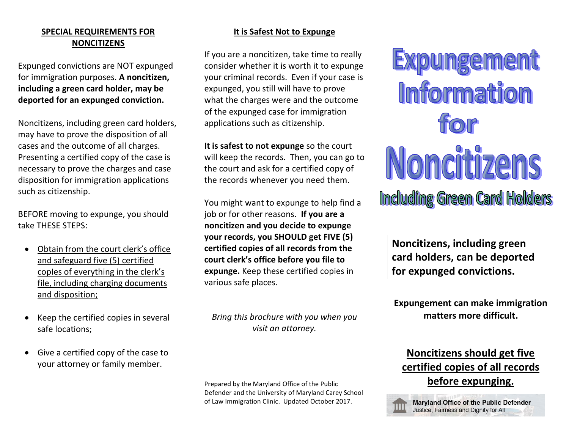## **SPECIAL REQUIREMENTS FOR NONCITIZENS**

Expunged convictions are NOT expunged for immigration purposes. **A noncitizen, including a green card holder, may be deported for an expunged conviction.** 

Noncitizens, including green card holders, may have to prove the disposition of all cases and the outcome of all charges. Presenting a certified copy of the case is necessary to prove the charges and case disposition for immigration applications such as citizenship.

BEFORE moving to expunge, you should take THESE STEPS:

- Obtain from the court clerk's office and safeguard five (5) certified coples of everything in the clerk's file, including charging documents and disposition;
- Keep the certified copies in several safe locations;
- Give a certified copy of the case to your attorney or family member.

## **It is Safest Not to Expunge**

If you are a noncitizen, take time to really consider whether it is worth it to expunge your criminal records. Even if your case is expunged, you still will have to prove what the charges were and the outcome of the expunged case for immigration applications such as citizenship.

**It is safest to not expunge** so the court will keep the records. Then, you can go to the court and ask for a certified copy of the records whenever you need them.

You might want to expunge to help find a job or for other reasons. **If you are a noncitizen and you decide to expunge your records, you SHOULD get FIVE (5) certified copies of all records from the court clerk's office before you file to expunge.** Keep these certified copies in various safe places.

*Bring this brochure with you when you visit an attorney.*

Prepared by the Maryland Office of the Public Defender and the University of Maryland Carey School of Law Immigration Clinic. Updated October 2017.

Expungement **Information** ffor Noncitizens **Including Green Card Holders** 

**Noncitizens, including green card holders, can be deported for expunged convictions.**

**Expungement can make immigration matters more difficult.**

# **Noncitizens should get five certified copies of all records before expunging.**



Maryland Office of the Public Defender Justice, Fairness and Dignity for All